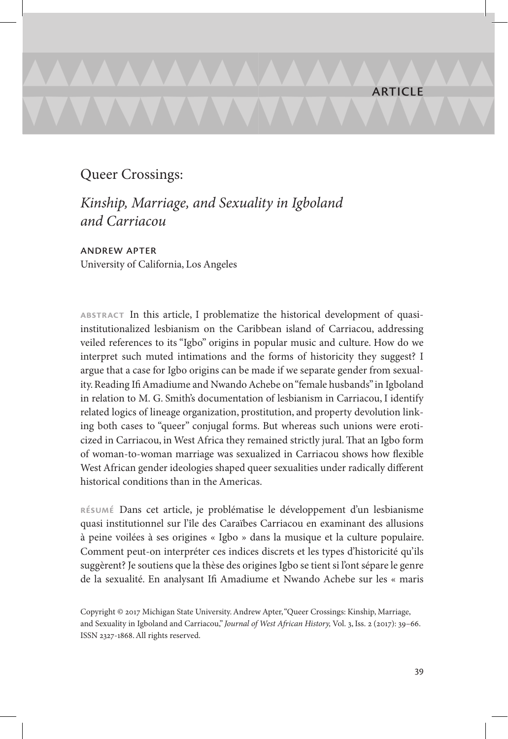# Queer Crossings:

*Kinship, Marriage, and Sexuality in Igboland and Carriacou*

andrew apter University of California, Los Angeles

**abstract** In this article, I problematize the historical development of quasiinstitutionalized lesbianism on the Caribbean island of Carriacou, addressing veiled references to its "Igbo" origins in popular music and culture. How do we interpret such muted intimations and the forms of historicity they suggest? I argue that a case for Igbo origins can be made if we separate gender from sexuality. Reading Ifi Amadiume and Nwando Achebe on "female husbands" in Igboland in relation to M. G. Smith's documentation of lesbianism in Carriacou, I identify related logics of lineage organization, prostitution, and property devolution linking both cases to "queer" conjugal forms. But whereas such unions were eroticized in Carriacou, in West Africa they remained strictly jural. That an Igbo form of woman-to-woman marriage was sexualized in Carriacou shows how flexible West African gender ideologies shaped queer sexualities under radically different historical conditions than in the Americas.

**résumé** Dans cet article, je problématise le développement d'un lesbianisme quasi institutionnel sur l'île des Caraïbes Carriacou en examinant des allusions à peine voilées à ses origines « Igbo » dans la musique et la culture populaire. Comment peut-on interpréter ces indices discrets et les types d'historicité qu'ils suggèrent? Je soutiens que la thèse des origines Igbo se tient si l'ont sépare le genre de la sexualité. En analysant Ifi Amadiume et Nwando Achebe sur les « maris

Copyright © 2017 Michigan State University. Andrew Apter, "Queer Crossings: Kinship, Marriage, and Sexuality in Igboland and Carriacou," *Journal of West African History,* Vol. 3, Iss. 2 (2017): 39–66. ISSN 2327-1868. All rights reserved.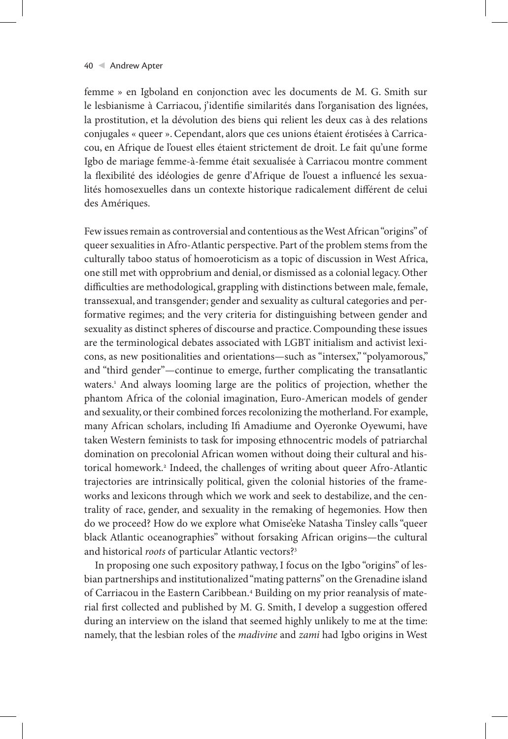femme » en Igboland en conjonction avec les documents de M. G. Smith sur le lesbianisme à Carriacou, j'identifie similarités dans l'organisation des lignées, la prostitution, et la dévolution des biens qui relient les deux cas à des relations conjugales « queer ». Cependant, alors que ces unions étaient érotisées à Carricacou, en Afrique de l'ouest elles étaient strictement de droit. Le fait qu'une forme Igbo de mariage femme-à-femme était sexualisée à Carriacou montre comment la flexibilité des idéologies de genre d'Afrique de l'ouest a influencé les sexualités homosexuelles dans un contexte historique radicalement différent de celui des Amériques.

Few issues remain as controversial and contentious as the West African "origins" of queer sexualities in Afro-Atlantic perspective. Part of the problem stems from the culturally taboo status of homoeroticism as a topic of discussion in West Africa, one still met with opprobrium and denial, or dismissed as a colonial legacy. Other difficulties are methodological, grappling with distinctions between male, female, transsexual, and transgender; gender and sexuality as cultural categories and performative regimes; and the very criteria for distinguishing between gender and sexuality as distinct spheres of discourse and practice. Compounding these issues are the terminological debates associated with LGBT initialism and activist lexicons, as new positionalities and orientations—such as "intersex," "polyamorous," and "third gender"—continue to emerge, further complicating the transatlantic waters.1 And always looming large are the politics of projection, whether the phantom Africa of the colonial imagination, Euro-American models of gender and sexuality, or their combined forces recolonizing the motherland. For example, many African scholars, including Ifi Amadiume and Oyeronke Oyewumi, have taken Western feminists to task for imposing ethnocentric models of patriarchal domination on precolonial African women without doing their cultural and historical homework.2 Indeed, the challenges of writing about queer Afro-Atlantic trajectories are intrinsically political, given the colonial histories of the frameworks and lexicons through which we work and seek to destabilize, and the centrality of race, gender, and sexuality in the remaking of hegemonies. How then do we proceed? How do we explore what Omise'eke Natasha Tinsley calls "queer black Atlantic oceanographies" without forsaking African origins—the cultural and historical *roots* of particular Atlantic vectors?3

In proposing one such expository pathway, I focus on the Igbo "origins" of lesbian partnerships and institutionalized "mating patterns" on the Grenadine island of Carriacou in the Eastern Caribbean.4 Building on my prior reanalysis of material first collected and published by M. G. Smith, I develop a suggestion offered during an interview on the island that seemed highly unlikely to me at the time: namely, that the lesbian roles of the *madivine* and *zami* had Igbo origins in West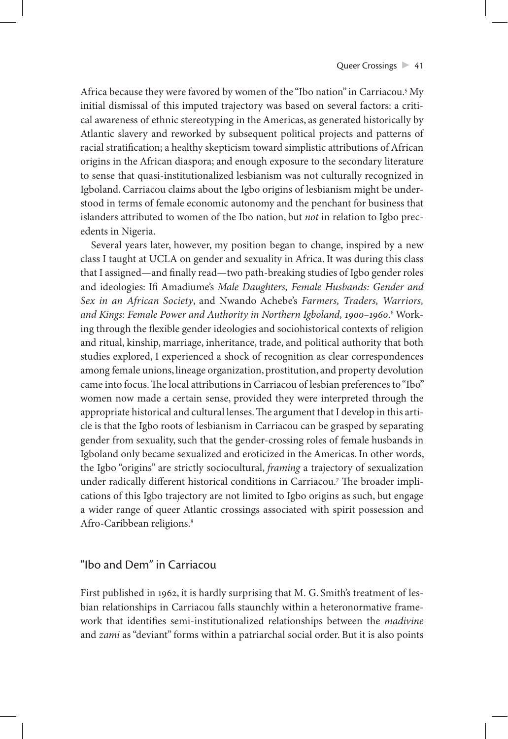Africa because they were favored by women of the "Ibo nation" in Carriacou.5 My initial dismissal of this imputed trajectory was based on several factors: a critical awareness of ethnic stereotyping in the Americas, as generated historically by Atlantic slavery and reworked by subsequent political projects and patterns of racial stratification; a healthy skepticism toward simplistic attributions of African origins in the African diaspora; and enough exposure to the secondary literature to sense that quasi-institutionalized lesbianism was not culturally recognized in Igboland. Carriacou claims about the Igbo origins of lesbianism might be understood in terms of female economic autonomy and the penchant for business that islanders attributed to women of the Ibo nation, but *not* in relation to Igbo precedents in Nigeria.

Several years later, however, my position began to change, inspired by a new class I taught at UCLA on gender and sexuality in Africa. It was during this class that I assigned—and finally read—two path-breaking studies of Igbo gender roles and ideologies: Ifi Amadiume's *Male Daughters, Female Husbands: Gender and Sex in an African Society*, and Nwando Achebe's *Farmers, Traders, Warriors,*  and Kings: Female Power and Authority in Northern Igboland, 1900–1960.<sup>6</sup> Working through the flexible gender ideologies and sociohistorical contexts of religion and ritual, kinship, marriage, inheritance, trade, and political authority that both studies explored, I experienced a shock of recognition as clear correspondences among female unions, lineage organization, prostitution, and property devolution came into focus. The local attributions in Carriacou of lesbian preferences to "Ibo" women now made a certain sense, provided they were interpreted through the appropriate historical and cultural lenses. The argument that I develop in this article is that the Igbo roots of lesbianism in Carriacou can be grasped by separating gender from sexuality, such that the gender-crossing roles of female husbands in Igboland only became sexualized and eroticized in the Americas. In other words, the Igbo "origins" are strictly sociocultural, *framing* a trajectory of sexualization under radically different historical conditions in Carriacou.7 The broader implications of this Igbo trajectory are not limited to Igbo origins as such, but engage a wider range of queer Atlantic crossings associated with spirit possession and Afro-Caribbean religions.<sup>8</sup>

# "Ibo and Dem" in Carriacou

First published in 1962, it is hardly surprising that M. G. Smith's treatment of lesbian relationships in Carriacou falls staunchly within a heteronormative framework that identifies semi-institutionalized relationships between the *madivine* and *zami* as "deviant" forms within a patriarchal social order. But it is also points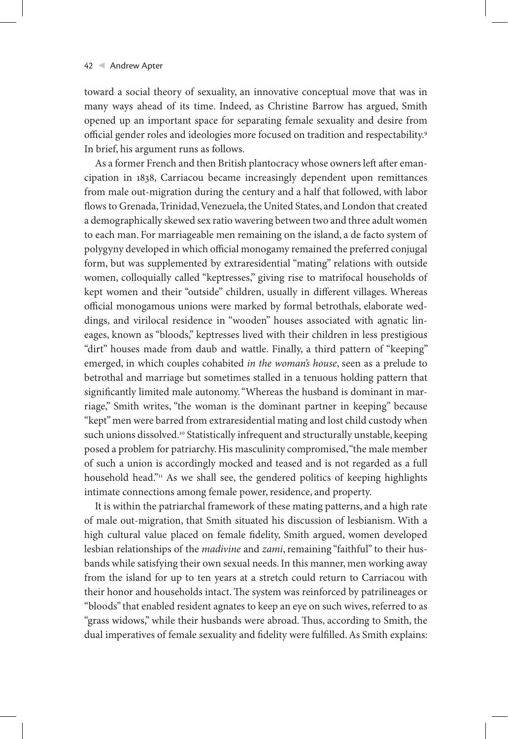toward a social theory of sexuality, an innovative conceptual move that was in many ways ahead of its time. Indeed, as Christine Barrow has argued, Smith opened up an important space for separating female sexuality and desire from official gender roles and ideologies more focused on tradition and respectability.9 In brief, his argument runs as follows.

As a former French and then British plantocracy whose owners left after emancipation in 1838, Carriacou became increasingly dependent upon remittances from male out-migration during the century and a half that followed, with labor flows to Grenada, Trinidad, Venezuela, the United States, and London that created a demographically skewed sex ratio wavering between two and three adult women to each man. For marriageable men remaining on the island, a de facto system of polygyny developed in which official monogamy remained the preferred conjugal form, but was supplemented by extraresidential "mating" relations with outside women, colloquially called "keptresses," giving rise to matrifocal households of kept women and their "outside" children, usually in different villages. Whereas official monogamous unions were marked by formal betrothals, elaborate weddings, and virilocal residence in "wooden" houses associated with agnatic lineages, known as "bloods," keptresses lived with their children in less prestigious "dirt" houses made from daub and wattle. Finally, a third pattern of "keeping" emerged, in which couples cohabited *in the woman's house*, seen as a prelude to betrothal and marriage but sometimes stalled in a tenuous holding pattern that significantly limited male autonomy. "Whereas the husband is dominant in marriage," Smith writes, "the woman is the dominant partner in keeping" because "kept" men were barred from extraresidential mating and lost child custody when such unions dissolved.<sup>10</sup> Statistically infrequent and structurally unstable, keeping posed a problem for patriarchy. His masculinity compromised, "the male member of such a union is accordingly mocked and teased and is not regarded as a full household head."<sup>11</sup> As we shall see, the gendered politics of keeping highlights intimate connections among female power, residence, and property.

It is within the patriarchal framework of these mating patterns, and a high rate of male out-migration, that Smith situated his discussion of lesbianism. With a high cultural value placed on female fidelity, Smith argued, women developed lesbian relationships of the *madivine* and *zami*, remaining "faithful" to their husbands while satisfying their own sexual needs. In this manner, men working away from the island for up to ten years at a stretch could return to Carriacou with their honor and households intact. The system was reinforced by patrilineages or "bloods" that enabled resident agnates to keep an eye on such wives, referred to as "grass widows," while their husbands were abroad. Thus, according to Smith, the dual imperatives of female sexuality and fidelity were fulfilled. As Smith explains: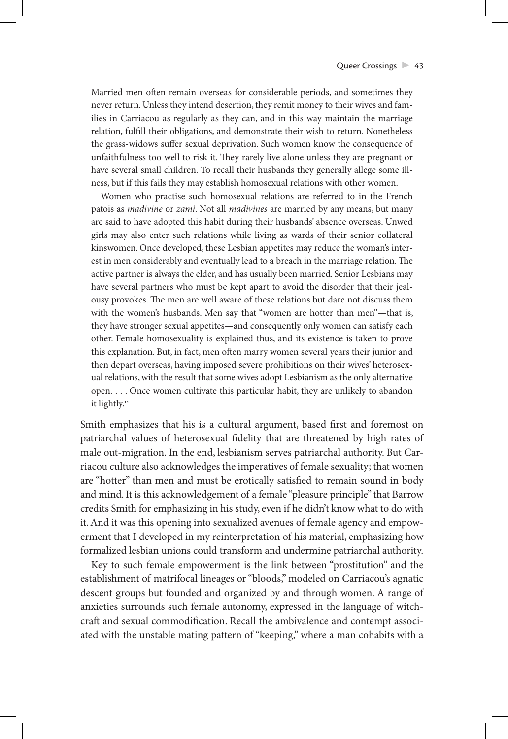Married men often remain overseas for considerable periods, and sometimes they never return. Unless they intend desertion, they remit money to their wives and families in Carriacou as regularly as they can, and in this way maintain the marriage relation, fulfill their obligations, and demonstrate their wish to return. Nonetheless the grass-widows suffer sexual deprivation. Such women know the consequence of unfaithfulness too well to risk it. They rarely live alone unless they are pregnant or have several small children. To recall their husbands they generally allege some illness, but if this fails they may establish homosexual relations with other women.

Women who practise such homosexual relations are referred to in the French patois as *madivine* or *zami*. Not all *madivines* are married by any means, but many are said to have adopted this habit during their husbands' absence overseas. Unwed girls may also enter such relations while living as wards of their senior collateral kinswomen. Once developed, these Lesbian appetites may reduce the woman's interest in men considerably and eventually lead to a breach in the marriage relation. The active partner is always the elder, and has usually been married. Senior Lesbians may have several partners who must be kept apart to avoid the disorder that their jealousy provokes. The men are well aware of these relations but dare not discuss them with the women's husbands. Men say that "women are hotter than men"—that is, they have stronger sexual appetites—and consequently only women can satisfy each other. Female homosexuality is explained thus, and its existence is taken to prove this explanation. But, in fact, men often marry women several years their junior and then depart overseas, having imposed severe prohibitions on their wives' heterosexual relations, with the result that some wives adopt Lesbianism as the only alternative open. . . . Once women cultivate this particular habit, they are unlikely to abandon it lightly.<sup>12</sup>

Smith emphasizes that his is a cultural argument, based first and foremost on patriarchal values of heterosexual fidelity that are threatened by high rates of male out-migration. In the end, lesbianism serves patriarchal authority. But Carriacou culture also acknowledges the imperatives of female sexuality; that women are "hotter" than men and must be erotically satisfied to remain sound in body and mind. It is this acknowledgement of a female "pleasure principle" that Barrow credits Smith for emphasizing in his study, even if he didn't know what to do with it. And it was this opening into sexualized avenues of female agency and empowerment that I developed in my reinterpretation of his material, emphasizing how formalized lesbian unions could transform and undermine patriarchal authority.

Key to such female empowerment is the link between "prostitution" and the establishment of matrifocal lineages or "bloods," modeled on Carriacou's agnatic descent groups but founded and organized by and through women. A range of anxieties surrounds such female autonomy, expressed in the language of witchcraft and sexual commodification. Recall the ambivalence and contempt associated with the unstable mating pattern of "keeping," where a man cohabits with a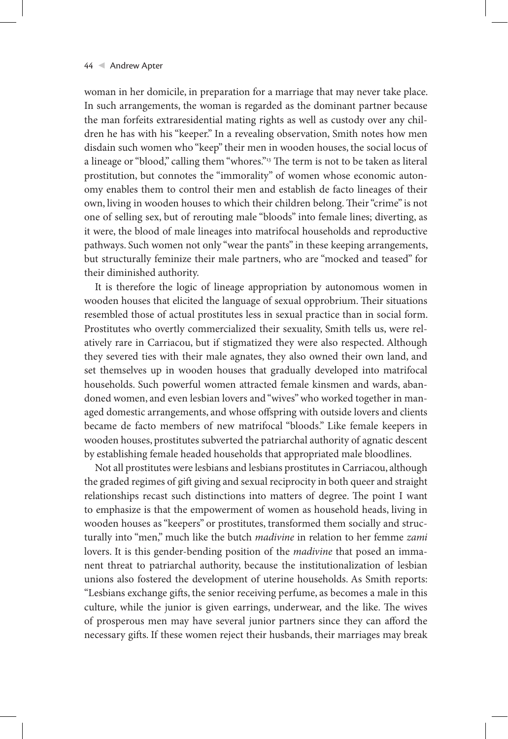woman in her domicile, in preparation for a marriage that may never take place. In such arrangements, the woman is regarded as the dominant partner because the man forfeits extraresidential mating rights as well as custody over any children he has with his "keeper." In a revealing observation, Smith notes how men disdain such women who "keep" their men in wooden houses, the social locus of a lineage or "blood," calling them "whores."<sup>13</sup> The term is not to be taken as literal prostitution, but connotes the "immorality" of women whose economic autonomy enables them to control their men and establish de facto lineages of their own, living in wooden houses to which their children belong. Their "crime" is not one of selling sex, but of rerouting male "bloods" into female lines; diverting, as it were, the blood of male lineages into matrifocal households and reproductive pathways. Such women not only "wear the pants" in these keeping arrangements, but structurally feminize their male partners, who are "mocked and teased" for their diminished authority.

It is therefore the logic of lineage appropriation by autonomous women in wooden houses that elicited the language of sexual opprobrium. Their situations resembled those of actual prostitutes less in sexual practice than in social form. Prostitutes who overtly commercialized their sexuality, Smith tells us, were relatively rare in Carriacou, but if stigmatized they were also respected. Although they severed ties with their male agnates, they also owned their own land, and set themselves up in wooden houses that gradually developed into matrifocal households. Such powerful women attracted female kinsmen and wards, abandoned women, and even lesbian lovers and "wives" who worked together in managed domestic arrangements, and whose offspring with outside lovers and clients became de facto members of new matrifocal "bloods." Like female keepers in wooden houses, prostitutes subverted the patriarchal authority of agnatic descent by establishing female headed households that appropriated male bloodlines.

Not all prostitutes were lesbians and lesbians prostitutes in Carriacou, although the graded regimes of gift giving and sexual reciprocity in both queer and straight relationships recast such distinctions into matters of degree. The point I want to emphasize is that the empowerment of women as household heads, living in wooden houses as "keepers" or prostitutes, transformed them socially and structurally into "men," much like the butch *madivine* in relation to her femme *zami* lovers. It is this gender-bending position of the *madivine* that posed an immanent threat to patriarchal authority, because the institutionalization of lesbian unions also fostered the development of uterine households. As Smith reports: "Lesbians exchange gifts, the senior receiving perfume, as becomes a male in this culture, while the junior is given earrings, underwear, and the like. The wives of prosperous men may have several junior partners since they can afford the necessary gifts. If these women reject their husbands, their marriages may break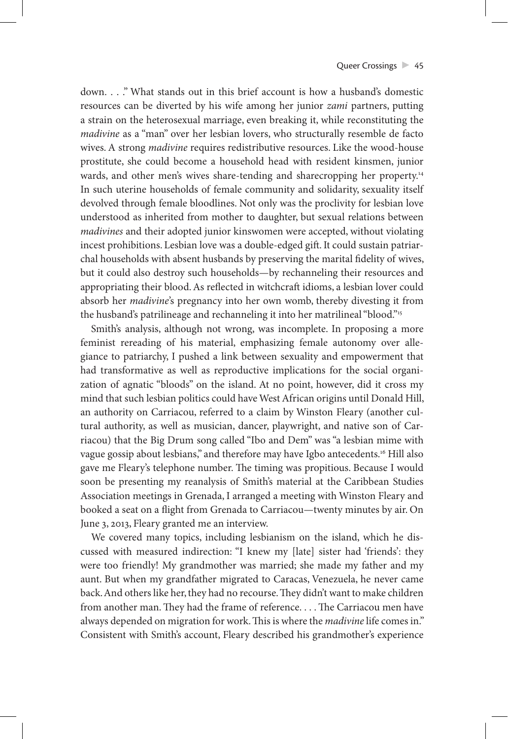down. . . ." What stands out in this brief account is how a husband's domestic resources can be diverted by his wife among her junior *zami* partners, putting a strain on the heterosexual marriage, even breaking it, while reconstituting the *madivine* as a "man" over her lesbian lovers, who structurally resemble de facto wives. A strong *madivine* requires redistributive resources. Like the wood-house prostitute, she could become a household head with resident kinsmen, junior wards, and other men's wives share-tending and sharecropping her property.<sup>14</sup> In such uterine households of female community and solidarity, sexuality itself devolved through female bloodlines. Not only was the proclivity for lesbian love understood as inherited from mother to daughter, but sexual relations between *madivines* and their adopted junior kinswomen were accepted, without violating incest prohibitions. Lesbian love was a double-edged gift. It could sustain patriarchal households with absent husbands by preserving the marital fidelity of wives, but it could also destroy such households—by rechanneling their resources and appropriating their blood. As reflected in witchcraft idioms, a lesbian lover could absorb her *madivine*'s pregnancy into her own womb, thereby divesting it from the husband's patrilineage and rechanneling it into her matrilineal "blood."15

Smith's analysis, although not wrong, was incomplete. In proposing a more feminist rereading of his material, emphasizing female autonomy over allegiance to patriarchy, I pushed a link between sexuality and empowerment that had transformative as well as reproductive implications for the social organization of agnatic "bloods" on the island. At no point, however, did it cross my mind that such lesbian politics could have West African origins until Donald Hill, an authority on Carriacou, referred to a claim by Winston Fleary (another cultural authority, as well as musician, dancer, playwright, and native son of Carriacou) that the Big Drum song called "Ibo and Dem" was "a lesbian mime with vague gossip about lesbians," and therefore may have Igbo antecedents.<sup>16</sup> Hill also gave me Fleary's telephone number. The timing was propitious. Because I would soon be presenting my reanalysis of Smith's material at the Caribbean Studies Association meetings in Grenada, I arranged a meeting with Winston Fleary and booked a seat on a flight from Grenada to Carriacou—twenty minutes by air. On June 3, 2013, Fleary granted me an interview.

We covered many topics, including lesbianism on the island, which he discussed with measured indirection: "I knew my [late] sister had 'friends': they were too friendly! My grandmother was married; she made my father and my aunt. But when my grandfather migrated to Caracas, Venezuela, he never came back. And others like her, they had no recourse. They didn't want to make children from another man. They had the frame of reference. . . . The Carriacou men have always depended on migration for work. This is where the *madivine* life comes in." Consistent with Smith's account, Fleary described his grandmother's experience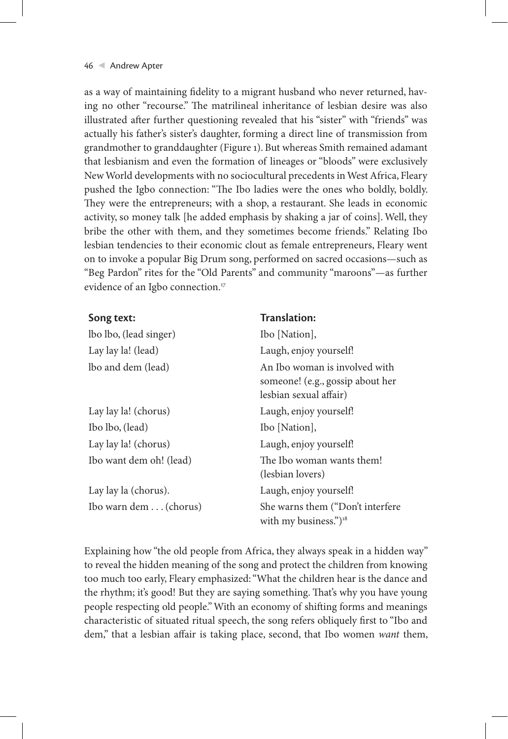as a way of maintaining fidelity to a migrant husband who never returned, having no other "recourse." The matrilineal inheritance of lesbian desire was also illustrated after further questioning revealed that his "sister" with "friends" was actually his father's sister's daughter, forming a direct line of transmission from grandmother to granddaughter (Figure 1). But whereas Smith remained adamant that lesbianism and even the formation of lineages or "bloods" were exclusively New World developments with no sociocultural precedents in West Africa, Fleary pushed the Igbo connection: "The Ibo ladies were the ones who boldly, boldly. They were the entrepreneurs; with a shop, a restaurant. She leads in economic activity, so money talk [he added emphasis by shaking a jar of coins]. Well, they bribe the other with them, and they sometimes become friends." Relating Ibo lesbian tendencies to their economic clout as female entrepreneurs, Fleary went on to invoke a popular Big Drum song, performed on sacred occasions—such as "Beg Pardon" rites for the "Old Parents" and community "maroons"—as further evidence of an Igbo connection.<sup>17</sup>

### **Song text: Translation:**

| lbo lbo, (lead singer)  | Ibo [Nation],                                                                               |
|-------------------------|---------------------------------------------------------------------------------------------|
| Lay lay la! (lead)      | Laugh, enjoy yourself!                                                                      |
| lbo and dem (lead)      | An Ibo woman is involved with<br>someone! (e.g., gossip about her<br>lesbian sexual affair) |
| Lay lay la! (chorus)    | Laugh, enjoy yourself!                                                                      |
| Ibo lbo, (lead)         | Ibo [Nation],                                                                               |
| Lay lay la! (chorus)    | Laugh, enjoy yourself!                                                                      |
| Ibo want dem oh! (lead) | The Ibo woman wants them!<br>(lesbian lovers)                                               |
| Lay lay la (chorus).    | Laugh, enjoy yourself!                                                                      |
| Ibo warn dem (chorus)   | She warns them ("Don't interfere"<br>with my business.") <sup>18</sup>                      |

Explaining how "the old people from Africa, they always speak in a hidden way" to reveal the hidden meaning of the song and protect the children from knowing too much too early, Fleary emphasized: "What the children hear is the dance and the rhythm; it's good! But they are saying something. That's why you have young people respecting old people." With an economy of shifting forms and meanings characteristic of situated ritual speech, the song refers obliquely first to "Ibo and dem," that a lesbian affair is taking place, second, that Ibo women *want* them,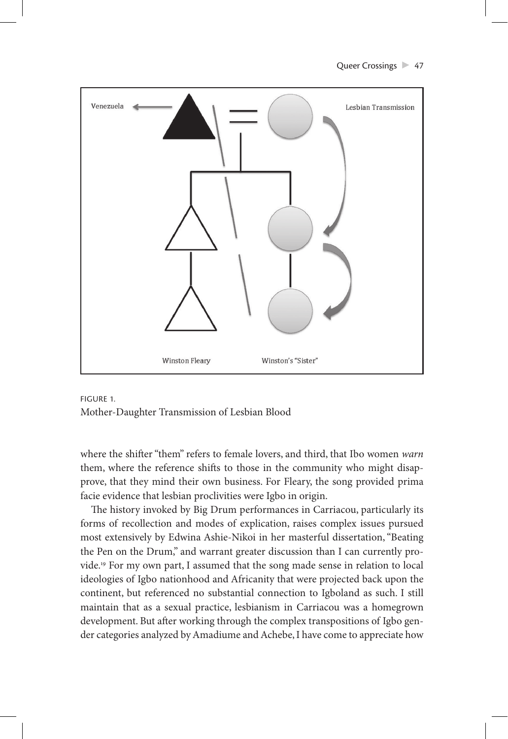Queer Crossings 247





where the shifter "them" refers to female lovers, and third, that Ibo women *warn* them, where the reference shifts to those in the community who might disapprove, that they mind their own business. For Fleary, the song provided prima facie evidence that lesbian proclivities were Igbo in origin.

The history invoked by Big Drum performances in Carriacou, particularly its forms of recollection and modes of explication, raises complex issues pursued most extensively by Edwina Ashie-Nikoi in her masterful dissertation, "Beating the Pen on the Drum," and warrant greater discussion than I can currently provide.19 For my own part, I assumed that the song made sense in relation to local ideologies of Igbo nationhood and Africanity that were projected back upon the continent, but referenced no substantial connection to Igboland as such. I still maintain that as a sexual practice, lesbianism in Carriacou was a homegrown development. But after working through the complex transpositions of Igbo gender categories analyzed by Amadiume and Achebe, I have come to appreciate how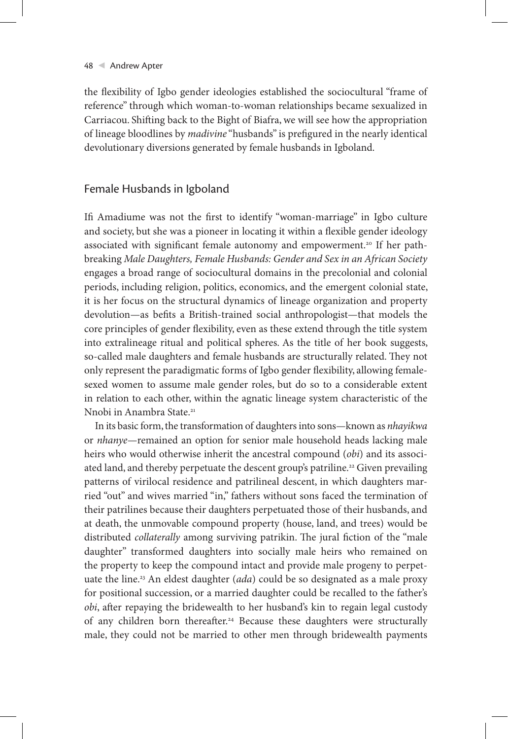the flexibility of Igbo gender ideologies established the sociocultural "frame of reference" through which woman-to-woman relationships became sexualized in Carriacou. Shifting back to the Bight of Biafra, we will see how the appropriation of lineage bloodlines by *madivine* "husbands" is prefigured in the nearly identical devolutionary diversions generated by female husbands in Igboland.

## Female Husbands in Igboland

Ifi Amadiume was not the first to identify "woman-marriage" in Igbo culture and society, but she was a pioneer in locating it within a flexible gender ideology associated with significant female autonomy and empowerment.<sup>20</sup> If her pathbreaking *Male Daughters, Female Husbands: Gender and Sex in an African Society* engages a broad range of sociocultural domains in the precolonial and colonial periods, including religion, politics, economics, and the emergent colonial state, it is her focus on the structural dynamics of lineage organization and property devolution—as befits a British-trained social anthropologist—that models the core principles of gender flexibility, even as these extend through the title system into extralineage ritual and political spheres. As the title of her book suggests, so-called male daughters and female husbands are structurally related. They not only represent the paradigmatic forms of Igbo gender flexibility, allowing femalesexed women to assume male gender roles, but do so to a considerable extent in relation to each other, within the agnatic lineage system characteristic of the Nnobi in Anambra State<sup>21</sup>

In its basic form, the transformation of daughters into sons—known as *nhayikwa* or *nhanye*—remained an option for senior male household heads lacking male heirs who would otherwise inherit the ancestral compound (*obi*) and its associated land, and thereby perpetuate the descent group's patriline.<sup>22</sup> Given prevailing patterns of virilocal residence and patrilineal descent, in which daughters married "out" and wives married "in," fathers without sons faced the termination of their patrilines because their daughters perpetuated those of their husbands, and at death, the unmovable compound property (house, land, and trees) would be distributed *collaterally* among surviving patrikin. The jural fiction of the "male daughter" transformed daughters into socially male heirs who remained on the property to keep the compound intact and provide male progeny to perpetuate the line.23 An eldest daughter (*ada*) could be so designated as a male proxy for positional succession, or a married daughter could be recalled to the father's *obi*, after repaying the bridewealth to her husband's kin to regain legal custody of any children born thereafter.<sup>24</sup> Because these daughters were structurally male, they could not be married to other men through bridewealth payments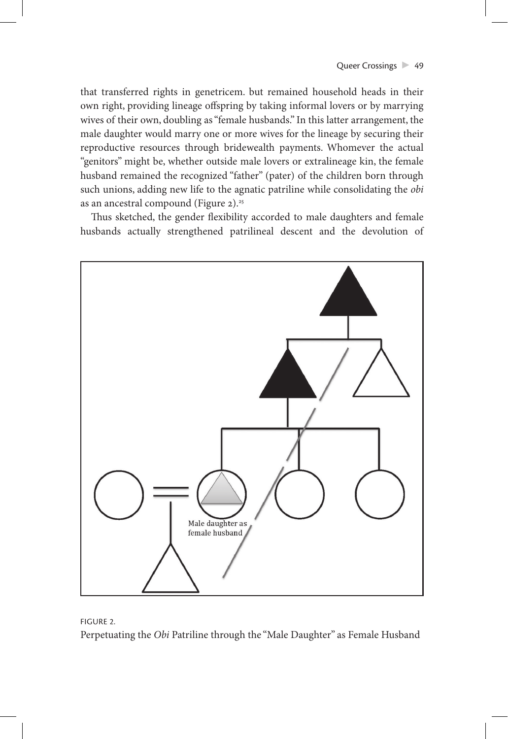that transferred rights in genetricem. but remained household heads in their own right, providing lineage offspring by taking informal lovers or by marrying wives of their own, doubling as "female husbands." In this latter arrangement, the male daughter would marry one or more wives for the lineage by securing their reproductive resources through bridewealth payments. Whomever the actual "genitors" might be, whether outside male lovers or extralineage kin, the female husband remained the recognized "father" (pater) of the children born through such unions, adding new life to the agnatic patriline while consolidating the *obi* as an ancestral compound (Figure 2).<sup>25</sup>

Thus sketched, the gender flexibility accorded to male daughters and female husbands actually strengthened patrilineal descent and the devolution of



FIGURE 2.

Perpetuating the *Obi* Patriline through the "Male Daughter" as Female Husband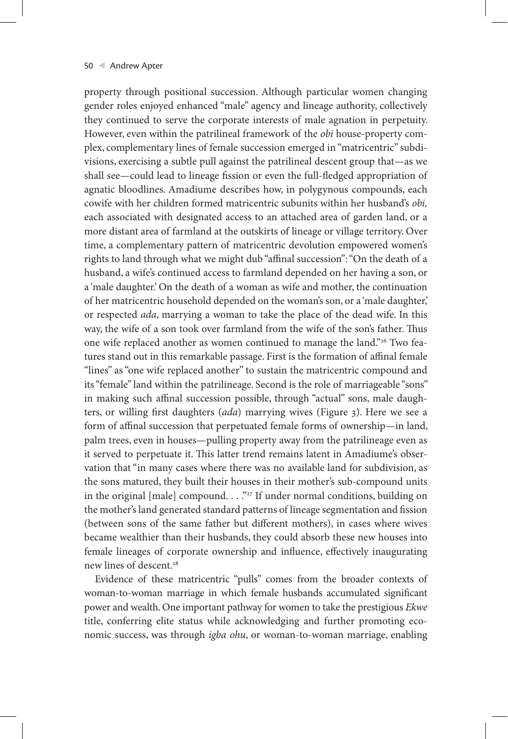property through positional succession. Although particular women changing gender roles enjoyed enhanced "male" agency and lineage authority, collectively they continued to serve the corporate interests of male agnation in perpetuity. However, even within the patrilineal framework of the *obi* house-property complex, complementary lines of female succession emerged in "matricentric" subdivisions, exercising a subtle pull against the patrilineal descent group that—as we shall see—could lead to lineage fission or even the full-fledged appropriation of agnatic bloodlines. Amadiume describes how, in polygynous compounds, each cowife with her children formed matricentric subunits within her husband's *obi,* each associated with designated access to an attached area of garden land, or a more distant area of farmland at the outskirts of lineage or village territory. Over time, a complementary pattern of matricentric devolution empowered women's rights to land through what we might dub "affinal succession": "On the death of a husband, a wife's continued access to farmland depended on her having a son, or a 'male daughter.' On the death of a woman as wife and mother, the continuation of her matricentric household depended on the woman's son, or a 'male daughter,' or respected *ada*, marrying a woman to take the place of the dead wife. In this way, the wife of a son took over farmland from the wife of the son's father. Thus one wife replaced another as women continued to manage the land."<sup>26</sup> Two features stand out in this remarkable passage. First is the formation of affinal female "lines" as "one wife replaced another" to sustain the matricentric compound and its "female" land within the patrilineage. Second is the role of marriageable "sons" in making such affinal succession possible, through "actual" sons, male daughters, or willing first daughters (*ada*) marrying wives (Figure 3). Here we see a form of affinal succession that perpetuated female forms of ownership—in land, palm trees, even in houses—pulling property away from the patrilineage even as it served to perpetuate it. This latter trend remains latent in Amadiume's observation that "in many cases where there was no available land for subdivision, as the sons matured, they built their houses in their mother's sub-compound units in the original [male] compound.  $\ldots$ <sup>27</sup> If under normal conditions, building on the mother's land generated standard patterns of lineage segmentation and fission (between sons of the same father but different mothers), in cases where wives became wealthier than their husbands, they could absorb these new houses into female lineages of corporate ownership and influence, effectively inaugurating new lines of descent.<sup>28</sup>

Evidence of these matricentric "pulls" comes from the broader contexts of woman-to-woman marriage in which female husbands accumulated significant power and wealth. One important pathway for women to take the prestigious *Ekwe* title, conferring elite status while acknowledging and further promoting economic success, was through *igba ohu*, or woman-to-woman marriage, enabling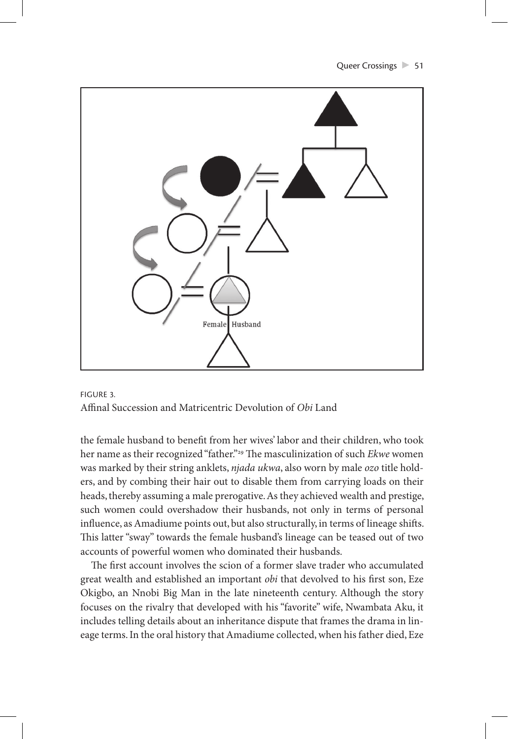

FIGURE 3. Affinal Succession and Matricentric Devolution of *Obi* Land

the female husband to benefit from her wives' labor and their children, who took her name as their recognized "father."29 The masculinization of such *Ekwe* women was marked by their string anklets, *njada ukwa*, also worn by male *ozo* title holders, and by combing their hair out to disable them from carrying loads on their heads, thereby assuming a male prerogative. As they achieved wealth and prestige, such women could overshadow their husbands, not only in terms of personal influence, as Amadiume points out, but also structurally, in terms of lineage shifts. This latter "sway" towards the female husband's lineage can be teased out of two accounts of powerful women who dominated their husbands.

The first account involves the scion of a former slave trader who accumulated great wealth and established an important *obi* that devolved to his first son, Eze Okigbo, an Nnobi Big Man in the late nineteenth century. Although the story focuses on the rivalry that developed with his "favorite" wife, Nwambata Aku, it includes telling details about an inheritance dispute that frames the drama in lineage terms. In the oral history that Amadiume collected, when his father died, Eze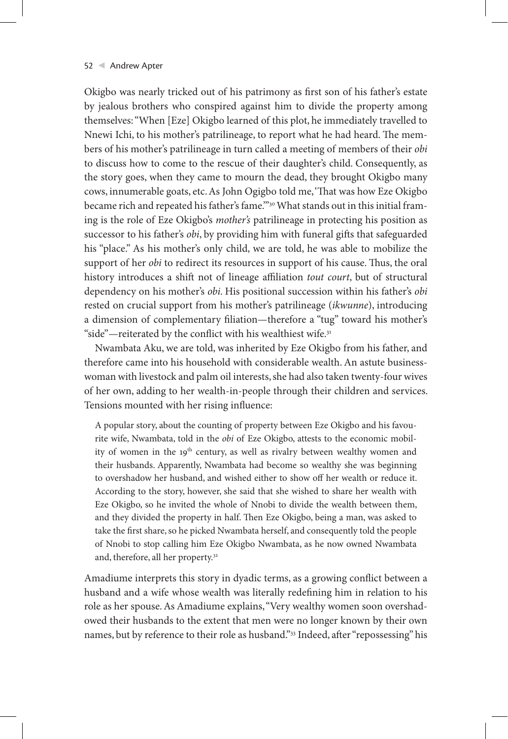Okigbo was nearly tricked out of his patrimony as first son of his father's estate by jealous brothers who conspired against him to divide the property among themselves: "When [Eze] Okigbo learned of this plot, he immediately travelled to Nnewi Ichi, to his mother's patrilineage, to report what he had heard. The members of his mother's patrilineage in turn called a meeting of members of their *obi* to discuss how to come to the rescue of their daughter's child. Consequently, as the story goes, when they came to mourn the dead, they brought Okigbo many cows, innumerable goats, etc. As John Ogigbo told me, 'That was how Eze Okigbo became rich and repeated his father's fame."<sup>30</sup> What stands out in this initial framing is the role of Eze Okigbo's *mother's* patrilineage in protecting his position as successor to his father's *obi*, by providing him with funeral gifts that safeguarded his "place." As his mother's only child, we are told, he was able to mobilize the support of her *obi* to redirect its resources in support of his cause. Thus, the oral history introduces a shift not of lineage affiliation *tout court*, but of structural dependency on his mother's *obi*. His positional succession within his father's *obi* rested on crucial support from his mother's patrilineage (*ikwunne*), introducing a dimension of complementary filiation—therefore a "tug" toward his mother's "side"—reiterated by the conflict with his wealthiest wife.<sup>31</sup>

Nwambata Aku, we are told, was inherited by Eze Okigbo from his father, and therefore came into his household with considerable wealth. An astute businesswoman with livestock and palm oil interests, she had also taken twenty-four wives of her own, adding to her wealth-in-people through their children and services. Tensions mounted with her rising influence:

A popular story, about the counting of property between Eze Okigbo and his favourite wife, Nwambata, told in the *obi* of Eze Okigbo, attests to the economic mobility of women in the 19<sup>th</sup> century, as well as rivalry between wealthy women and their husbands. Apparently, Nwambata had become so wealthy she was beginning to overshadow her husband, and wished either to show off her wealth or reduce it. According to the story, however, she said that she wished to share her wealth with Eze Okigbo, so he invited the whole of Nnobi to divide the wealth between them, and they divided the property in half. Then Eze Okigbo, being a man, was asked to take the first share, so he picked Nwambata herself, and consequently told the people of Nnobi to stop calling him Eze Okigbo Nwambata, as he now owned Nwambata and, therefore, all her property.32

Amadiume interprets this story in dyadic terms, as a growing conflict between a husband and a wife whose wealth was literally redefining him in relation to his role as her spouse. As Amadiume explains, "Very wealthy women soon overshadowed their husbands to the extent that men were no longer known by their own names, but by reference to their role as husband."33 Indeed, after "repossessing" his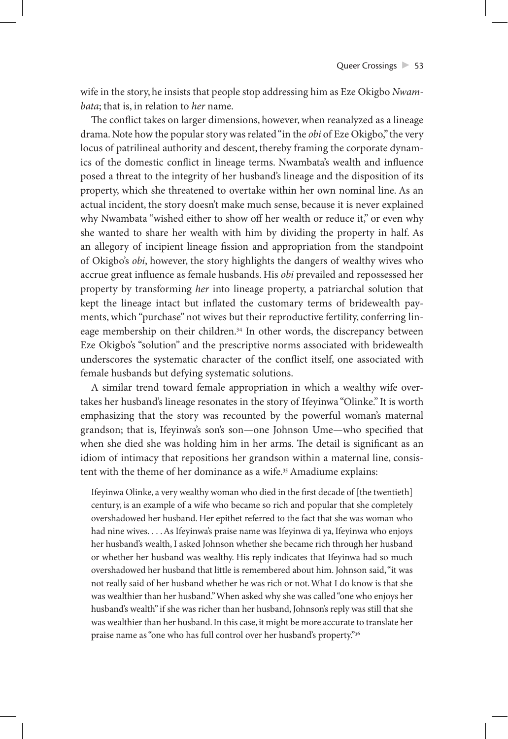wife in the story, he insists that people stop addressing him as Eze Okigbo *Nwambata*; that is, in relation to *her* name.

The conflict takes on larger dimensions, however, when reanalyzed as a lineage drama. Note how the popular story was related "in the *obi* of Eze Okigbo," the very locus of patrilineal authority and descent, thereby framing the corporate dynamics of the domestic conflict in lineage terms. Nwambata's wealth and influence posed a threat to the integrity of her husband's lineage and the disposition of its property, which she threatened to overtake within her own nominal line. As an actual incident, the story doesn't make much sense, because it is never explained why Nwambata "wished either to show off her wealth or reduce it," or even why she wanted to share her wealth with him by dividing the property in half. As an allegory of incipient lineage fission and appropriation from the standpoint of Okigbo's *obi*, however, the story highlights the dangers of wealthy wives who accrue great influence as female husbands. His *obi* prevailed and repossessed her property by transforming *her* into lineage property, a patriarchal solution that kept the lineage intact but inflated the customary terms of bridewealth payments, which "purchase" not wives but their reproductive fertility, conferring lineage membership on their children.<sup>34</sup> In other words, the discrepancy between Eze Okigbo's "solution" and the prescriptive norms associated with bridewealth underscores the systematic character of the conflict itself, one associated with female husbands but defying systematic solutions.

A similar trend toward female appropriation in which a wealthy wife overtakes her husband's lineage resonates in the story of Ifeyinwa "Olinke." It is worth emphasizing that the story was recounted by the powerful woman's maternal grandson; that is, Ifeyinwa's son's son—one Johnson Ume—who specified that when she died she was holding him in her arms. The detail is significant as an idiom of intimacy that repositions her grandson within a maternal line, consistent with the theme of her dominance as a wife.<sup>35</sup> Amadiume explains:

Ifeyinwa Olinke, a very wealthy woman who died in the first decade of [the twentieth] century, is an example of a wife who became so rich and popular that she completely overshadowed her husband. Her epithet referred to the fact that she was woman who had nine wives. . . . As Ifeyinwa's praise name was Ifeyinwa di ya, Ifeyinwa who enjoys her husband's wealth, I asked Johnson whether she became rich through her husband or whether her husband was wealthy. His reply indicates that Ifeyinwa had so much overshadowed her husband that little is remembered about him. Johnson said, "it was not really said of her husband whether he was rich or not. What I do know is that she was wealthier than her husband." When asked why she was called "one who enjoys her husband's wealth" if she was richer than her husband, Johnson's reply was still that she was wealthier than her husband. In this case, it might be more accurate to translate her praise name as "one who has full control over her husband's property."<sup>36</sup>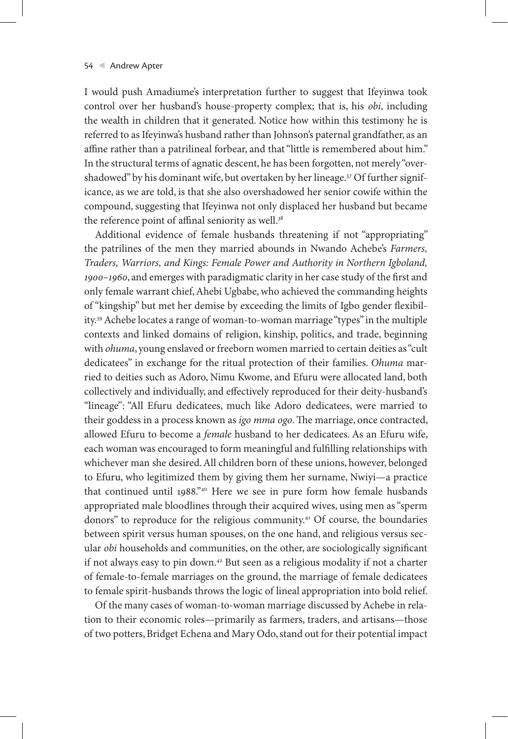I would push Amadiume's interpretation further to suggest that Ifeyinwa took control over her husband's house-property complex; that is, his *obi*, including the wealth in children that it generated. Notice how within this testimony he is referred to as Ifeyinwa's husband rather than Johnson's paternal grandfather, as an affine rather than a patrilineal forbear, and that "little is remembered about him." In the structural terms of agnatic descent, he has been forgotten, not merely "overshadowed" by his dominant wife, but overtaken by her lineage.<sup>37</sup> Of further significance, as we are told, is that she also overshadowed her senior cowife within the compound, suggesting that Ifeyinwa not only displaced her husband but became the reference point of affinal seniority as well.<sup>38</sup>

Additional evidence of female husbands threatening if not "appropriating" the patrilines of the men they married abounds in Nwando Achebe's *Farmers, Traders, Warriors, and Kings: Female Power and Authority in Northern Igboland, 1900–1960*, and emerges with paradigmatic clarity in her case study of the first and only female warrant chief, Ahebi Ugbabe, who achieved the commanding heights of "kingship" but met her demise by exceeding the limits of Igbo gender flexibility.39 Achebe locates a range of woman-to-woman marriage "types" in the multiple contexts and linked domains of religion, kinship, politics, and trade, beginning with *ohuma*, young enslaved or freeborn women married to certain deities as "cult dedicatees" in exchange for the ritual protection of their families. *Ohuma* married to deities such as Adoro, Nimu Kwome, and Efuru were allocated land, both collectively and individually, and effectively reproduced for their deity-husband's "lineage": "All Efuru dedicatees, much like Adoro dedicatees, were married to their goddess in a process known as *igo mma ogo*. The marriage, once contracted, allowed Efuru to become a *female* husband to her dedicatees. As an Efuru wife, each woman was encouraged to form meaningful and fulfilling relationships with whichever man she desired. All children born of these unions, however, belonged to Efuru, who legitimized them by giving them her surname, Nwiyi—a practice that continued until 1988."40 Here we see in pure form how female husbands appropriated male bloodlines through their acquired wives, using men as "sperm donors" to reproduce for the religious community.41 Of course, the boundaries between spirit versus human spouses, on the one hand, and religious versus secular *obi* households and communities, on the other, are sociologically significant if not always easy to pin down.<sup>42</sup> But seen as a religious modality if not a charter of female-to-female marriages on the ground, the marriage of female dedicatees to female spirit-husbands throws the logic of lineal appropriation into bold relief.

Of the many cases of woman-to-woman marriage discussed by Achebe in relation to their economic roles—primarily as farmers, traders, and artisans—those of two potters, Bridget Echena and Mary Odo, stand out for their potential impact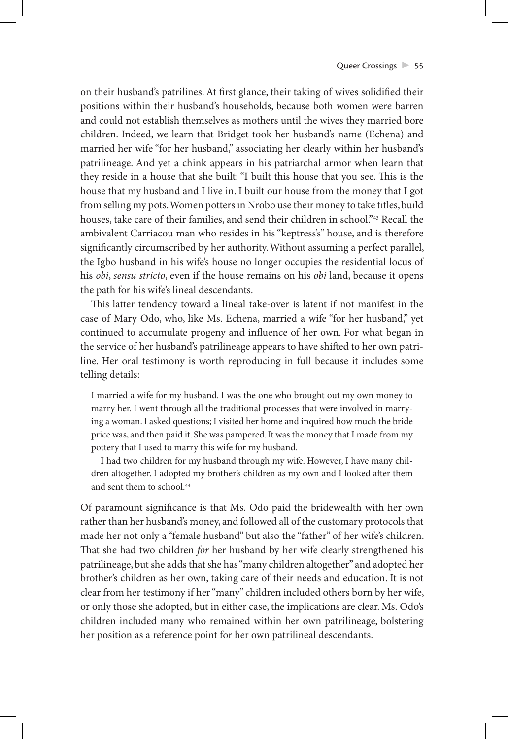on their husband's patrilines. At first glance, their taking of wives solidified their positions within their husband's households, because both women were barren and could not establish themselves as mothers until the wives they married bore children. Indeed, we learn that Bridget took her husband's name (Echena) and married her wife "for her husband," associating her clearly within her husband's patrilineage. And yet a chink appears in his patriarchal armor when learn that they reside in a house that she built: "I built this house that you see. This is the house that my husband and I live in. I built our house from the money that I got from selling my pots. Women potters in Nrobo use their money to take titles, build houses, take care of their families, and send their children in school."43 Recall the ambivalent Carriacou man who resides in his "keptress's" house, and is therefore significantly circumscribed by her authority. Without assuming a perfect parallel, the Igbo husband in his wife's house no longer occupies the residential locus of his *obi*, *sensu stricto*, even if the house remains on his *obi* land, because it opens the path for his wife's lineal descendants.

This latter tendency toward a lineal take-over is latent if not manifest in the case of Mary Odo, who, like Ms. Echena, married a wife "for her husband," yet continued to accumulate progeny and influence of her own. For what began in the service of her husband's patrilineage appears to have shifted to her own patriline. Her oral testimony is worth reproducing in full because it includes some telling details:

I married a wife for my husband. I was the one who brought out my own money to marry her. I went through all the traditional processes that were involved in marrying a woman. I asked questions; I visited her home and inquired how much the bride price was, and then paid it. She was pampered. It was the money that I made from my pottery that I used to marry this wife for my husband.

I had two children for my husband through my wife. However, I have many children altogether. I adopted my brother's children as my own and I looked after them and sent them to school.<sup>44</sup>

Of paramount significance is that Ms. Odo paid the bridewealth with her own rather than her husband's money, and followed all of the customary protocols that made her not only a "female husband" but also the "father" of her wife's children. That she had two children *for* her husband by her wife clearly strengthened his patrilineage, but she adds that she has "many children altogether" and adopted her brother's children as her own, taking care of their needs and education. It is not clear from her testimony if her "many" children included others born by her wife, or only those she adopted, but in either case, the implications are clear. Ms. Odo's children included many who remained within her own patrilineage, bolstering her position as a reference point for her own patrilineal descendants.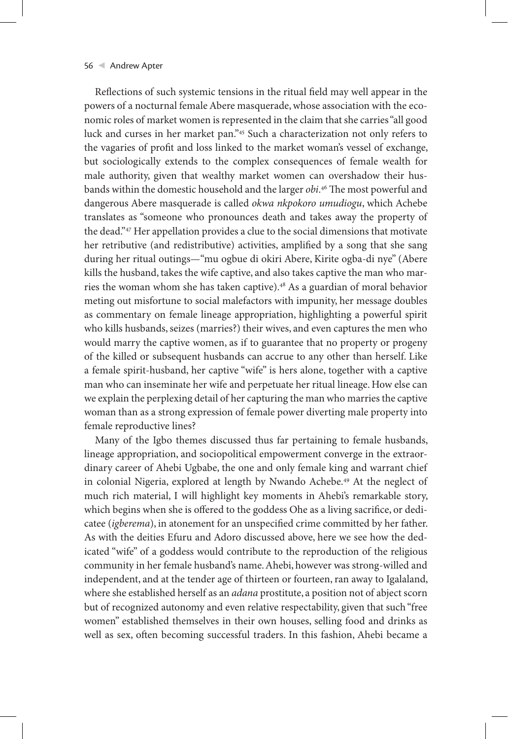Reflections of such systemic tensions in the ritual field may well appear in the powers of a nocturnal female Abere masquerade, whose association with the economic roles of market women is represented in the claim that she carries "all good luck and curses in her market pan."45 Such a characterization not only refers to the vagaries of profit and loss linked to the market woman's vessel of exchange, but sociologically extends to the complex consequences of female wealth for male authority, given that wealthy market women can overshadow their husbands within the domestic household and the larger *obi*. 46 The most powerful and dangerous Abere masquerade is called *okwa nkpokoro umudiogu*, which Achebe translates as "someone who pronounces death and takes away the property of the dead."47 Her appellation provides a clue to the social dimensions that motivate her retributive (and redistributive) activities, amplified by a song that she sang during her ritual outings—"mu ogbue di okiri Abere, Kirite ogba-di nye" (Abere kills the husband, takes the wife captive, and also takes captive the man who marries the woman whom she has taken captive).48 As a guardian of moral behavior meting out misfortune to social malefactors with impunity, her message doubles as commentary on female lineage appropriation, highlighting a powerful spirit who kills husbands, seizes (marries?) their wives, and even captures the men who would marry the captive women, as if to guarantee that no property or progeny of the killed or subsequent husbands can accrue to any other than herself. Like a female spirit-husband, her captive "wife" is hers alone, together with a captive man who can inseminate her wife and perpetuate her ritual lineage. How else can we explain the perplexing detail of her capturing the man who marries the captive woman than as a strong expression of female power diverting male property into female reproductive lines?

Many of the Igbo themes discussed thus far pertaining to female husbands, lineage appropriation, and sociopolitical empowerment converge in the extraordinary career of Ahebi Ugbabe, the one and only female king and warrant chief in colonial Nigeria, explored at length by Nwando Achebe.<sup>49</sup> At the neglect of much rich material, I will highlight key moments in Ahebi's remarkable story, which begins when she is offered to the goddess Ohe as a living sacrifice, or dedicatee (*igberema*), in atonement for an unspecified crime committed by her father. As with the deities Efuru and Adoro discussed above, here we see how the dedicated "wife" of a goddess would contribute to the reproduction of the religious community in her female husband's name. Ahebi, however was strong-willed and independent, and at the tender age of thirteen or fourteen, ran away to Igalaland, where she established herself as an *adana* prostitute, a position not of abject scorn but of recognized autonomy and even relative respectability, given that such "free women" established themselves in their own houses, selling food and drinks as well as sex, often becoming successful traders. In this fashion, Ahebi became a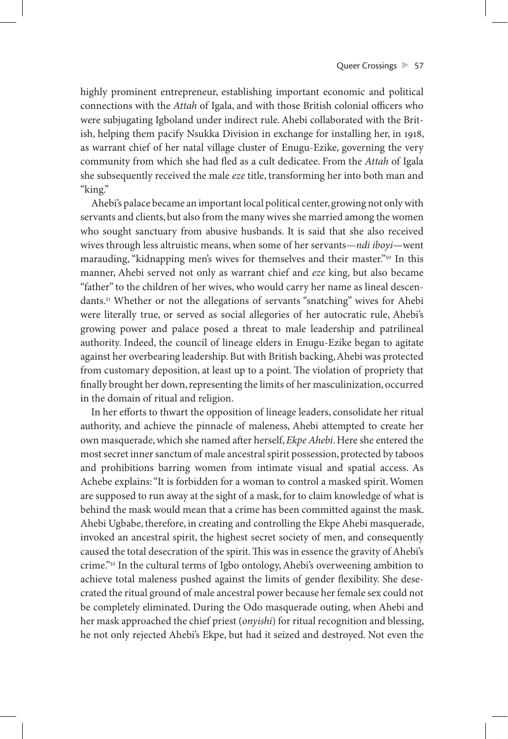highly prominent entrepreneur, establishing important economic and political connections with the *Attah* of Igala, and with those British colonial officers who were subjugating Igboland under indirect rule. Ahebi collaborated with the British, helping them pacify Nsukka Division in exchange for installing her, in 1918, as warrant chief of her natal village cluster of Enugu-Ezike, governing the very community from which she had fled as a cult dedicatee. From the *Attah* of Igala she subsequently received the male *eze* title, transforming her into both man and "king."

Ahebi's palace became an important local political center, growing not only with servants and clients, but also from the many wives she married among the women who sought sanctuary from abusive husbands. It is said that she also received wives through less altruistic means, when some of her servants—*ndi iboyi*—went marauding, "kidnapping men's wives for themselves and their master."<sup>50</sup> In this manner, Ahebi served not only as warrant chief and *eze* king, but also became "father" to the children of her wives, who would carry her name as lineal descendants.51 Whether or not the allegations of servants "snatching" wives for Ahebi were literally true, or served as social allegories of her autocratic rule, Ahebi's growing power and palace posed a threat to male leadership and patrilineal authority. Indeed, the council of lineage elders in Enugu-Ezike began to agitate against her overbearing leadership. But with British backing, Ahebi was protected from customary deposition, at least up to a point. The violation of propriety that finally brought her down, representing the limits of her masculinization, occurred in the domain of ritual and religion.

In her efforts to thwart the opposition of lineage leaders, consolidate her ritual authority, and achieve the pinnacle of maleness, Ahebi attempted to create her own masquerade, which she named after herself, *Ekpe Ahebi*. Here she entered the most secret inner sanctum of male ancestral spirit possession, protected by taboos and prohibitions barring women from intimate visual and spatial access. As Achebe explains: "It is forbidden for a woman to control a masked spirit. Women are supposed to run away at the sight of a mask, for to claim knowledge of what is behind the mask would mean that a crime has been committed against the mask. Ahebi Ugbabe, therefore, in creating and controlling the Ekpe Ahebi masquerade, invoked an ancestral spirit, the highest secret society of men, and consequently caused the total desecration of the spirit. This was in essence the gravity of Ahebi's crime."52 In the cultural terms of Igbo ontology, Ahebi's overweening ambition to achieve total maleness pushed against the limits of gender flexibility. She desecrated the ritual ground of male ancestral power because her female sex could not be completely eliminated. During the Odo masquerade outing, when Ahebi and her mask approached the chief priest (*onyishi*) for ritual recognition and blessing, he not only rejected Ahebi's Ekpe, but had it seized and destroyed. Not even the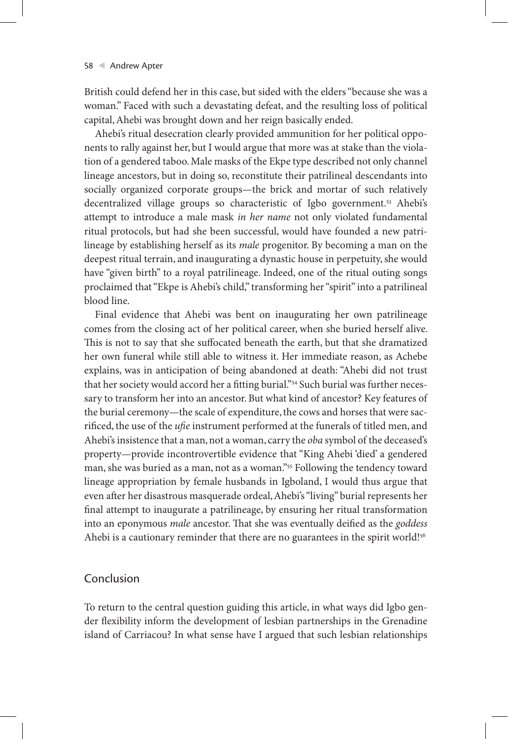British could defend her in this case, but sided with the elders "because she was a woman." Faced with such a devastating defeat, and the resulting loss of political capital, Ahebi was brought down and her reign basically ended.

Ahebi's ritual desecration clearly provided ammunition for her political opponents to rally against her, but I would argue that more was at stake than the violation of a gendered taboo. Male masks of the Ekpe type described not only channel lineage ancestors, but in doing so, reconstitute their patrilineal descendants into socially organized corporate groups—the brick and mortar of such relatively decentralized village groups so characteristic of Igbo government.<sup>53</sup> Ahebi's attempt to introduce a male mask *in her name* not only violated fundamental ritual protocols, but had she been successful, would have founded a new patrilineage by establishing herself as its *male* progenitor. By becoming a man on the deepest ritual terrain, and inaugurating a dynastic house in perpetuity, she would have "given birth" to a royal patrilineage. Indeed, one of the ritual outing songs proclaimed that "Ekpe is Ahebi's child," transforming her "spirit" into a patrilineal blood line.

Final evidence that Ahebi was bent on inaugurating her own patrilineage comes from the closing act of her political career, when she buried herself alive. This is not to say that she suffocated beneath the earth, but that she dramatized her own funeral while still able to witness it. Her immediate reason, as Achebe explains, was in anticipation of being abandoned at death: "Ahebi did not trust that her society would accord her a fitting burial."54 Such burial was further necessary to transform her into an ancestor. But what kind of ancestor? Key features of the burial ceremony—the scale of expenditure, the cows and horses that were sacrificed, the use of the *ufie* instrument performed at the funerals of titled men, and Ahebi's insistence that a man, not a woman, carry the *oba* symbol of the deceased's property—provide incontrovertible evidence that "King Ahebi 'died' a gendered man, she was buried as a man, not as a woman."55 Following the tendency toward lineage appropriation by female husbands in Igboland, I would thus argue that even after her disastrous masquerade ordeal, Ahebi's "living" burial represents her final attempt to inaugurate a patrilineage, by ensuring her ritual transformation into an eponymous *male* ancestor. That she was eventually deified as the *goddess* Ahebi is a cautionary reminder that there are no guarantees in the spirit world!<sup>56</sup>

# Conclusion

To return to the central question guiding this article, in what ways did Igbo gender flexibility inform the development of lesbian partnerships in the Grenadine island of Carriacou? In what sense have I argued that such lesbian relationships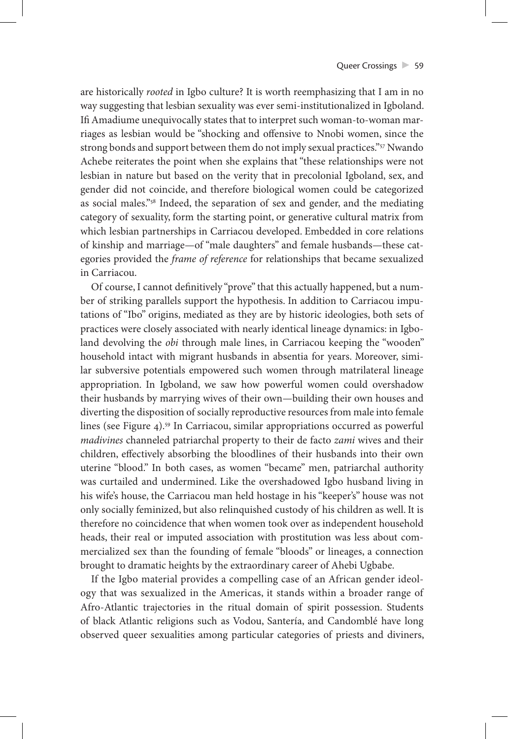are historically *rooted* in Igbo culture? It is worth reemphasizing that I am in no way suggesting that lesbian sexuality was ever semi-institutionalized in Igboland. Ifi Amadiume unequivocally states that to interpret such woman-to-woman marriages as lesbian would be "shocking and offensive to Nnobi women, since the strong bonds and support between them do not imply sexual practices."57 Nwando Achebe reiterates the point when she explains that "these relationships were not lesbian in nature but based on the verity that in precolonial Igboland, sex, and gender did not coincide, and therefore biological women could be categorized as social males."58 Indeed, the separation of sex and gender, and the mediating category of sexuality, form the starting point, or generative cultural matrix from which lesbian partnerships in Carriacou developed. Embedded in core relations of kinship and marriage—of "male daughters" and female husbands—these categories provided the *frame of reference* for relationships that became sexualized in Carriacou.

Of course, I cannot definitively "prove" that this actually happened, but a number of striking parallels support the hypothesis. In addition to Carriacou imputations of "Ibo" origins, mediated as they are by historic ideologies, both sets of practices were closely associated with nearly identical lineage dynamics: in Igboland devolving the *obi* through male lines, in Carriacou keeping the "wooden" household intact with migrant husbands in absentia for years. Moreover, similar subversive potentials empowered such women through matrilateral lineage appropriation. In Igboland, we saw how powerful women could overshadow their husbands by marrying wives of their own—building their own houses and diverting the disposition of socially reproductive resources from male into female lines (see Figure 4).59 In Carriacou, similar appropriations occurred as powerful *madivines* channeled patriarchal property to their de facto *zami* wives and their children, effectively absorbing the bloodlines of their husbands into their own uterine "blood." In both cases, as women "became" men, patriarchal authority was curtailed and undermined. Like the overshadowed Igbo husband living in his wife's house, the Carriacou man held hostage in his "keeper's" house was not only socially feminized, but also relinquished custody of his children as well. It is therefore no coincidence that when women took over as independent household heads, their real or imputed association with prostitution was less about commercialized sex than the founding of female "bloods" or lineages, a connection brought to dramatic heights by the extraordinary career of Ahebi Ugbabe.

If the Igbo material provides a compelling case of an African gender ideology that was sexualized in the Americas, it stands within a broader range of Afro-Atlantic trajectories in the ritual domain of spirit possession. Students of black Atlantic religions such as Vodou, Santería, and Candomblé have long observed queer sexualities among particular categories of priests and diviners,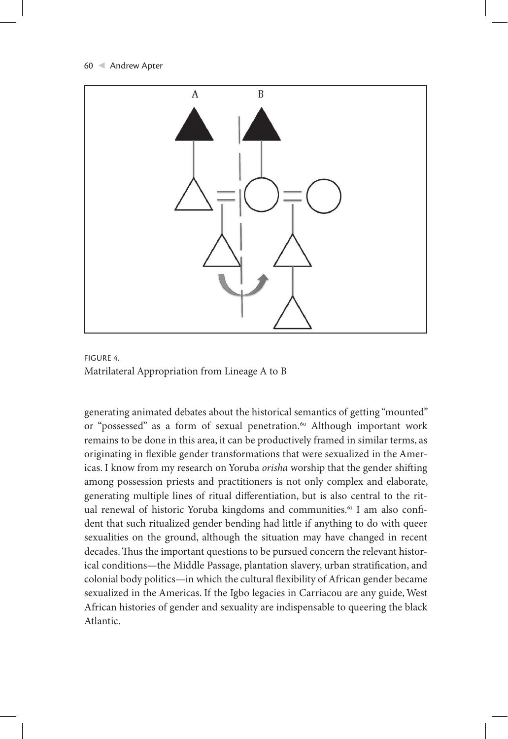



generating animated debates about the historical semantics of getting "mounted" or "possessed" as a form of sexual penetration.<sup>60</sup> Although important work remains to be done in this area, it can be productively framed in similar terms, as originating in flexible gender transformations that were sexualized in the Americas. I know from my research on Yoruba *orisha* worship that the gender shifting among possession priests and practitioners is not only complex and elaborate, generating multiple lines of ritual differentiation, but is also central to the ritual renewal of historic Yoruba kingdoms and communities.<sup>61</sup> I am also confident that such ritualized gender bending had little if anything to do with queer sexualities on the ground, although the situation may have changed in recent decades. Thus the important questions to be pursued concern the relevant historical conditions—the Middle Passage, plantation slavery, urban stratification, and colonial body politics—in which the cultural flexibility of African gender became sexualized in the Americas. If the Igbo legacies in Carriacou are any guide, West African histories of gender and sexuality are indispensable to queering the black Atlantic.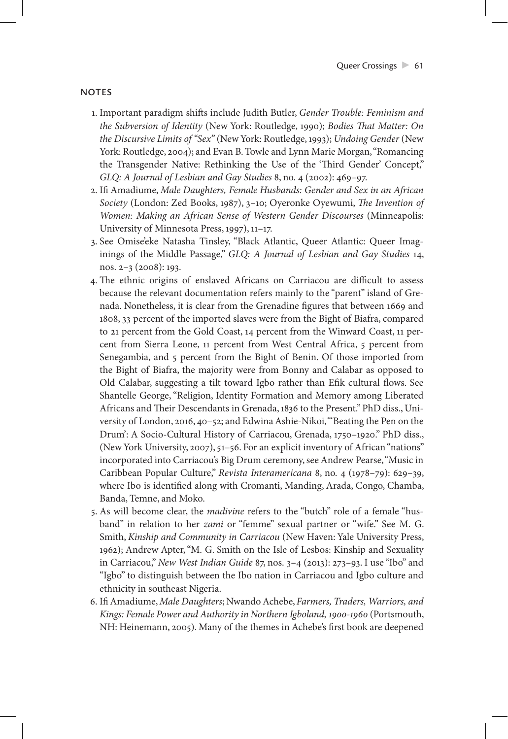### **NOTES**

- 1. Important paradigm shifts include Judith Butler, *Gender Trouble: Feminism and the Subversion of Identity* (New York: Routledge, 1990); *Bodies That Matter: On the Discursive Limits of "Sex"* (New York: Routledge, 1993); *Undoing Gender* (New York: Routledge, 2004); and Evan B. Towle and Lynn Marie Morgan, "Romancing the Transgender Native: Rethinking the Use of the 'Third Gender' Concept," *GLQ: A Journal of Lesbian and Gay Studies* 8, no. 4 (2002): 469–97.
- 2. Ifi Amadiume, *Male Daughters, Female Husbands: Gender and Sex in an African Society* (London: Zed Books, 1987), 3–10; Oyeronke Oyewumi, *The Invention of Women: Making an African Sense of Western Gender Discourses* (Minneapolis: University of Minnesota Press, 1997), 11–17.
- 3. See Omise'eke Natasha Tinsley, "Black Atlantic, Queer Atlantic: Queer Imaginings of the Middle Passage," *GLQ: A Journal of Lesbian and Gay Studies* 14, nos. 2–3 (2008): 193.
- 4. The ethnic origins of enslaved Africans on Carriacou are difficult to assess because the relevant documentation refers mainly to the "parent" island of Grenada. Nonetheless, it is clear from the Grenadine figures that between 1669 and 1808, 33 percent of the imported slaves were from the Bight of Biafra, compared to 21 percent from the Gold Coast, 14 percent from the Winward Coast, 11 percent from Sierra Leone, 11 percent from West Central Africa, 5 percent from Senegambia, and 5 percent from the Bight of Benin. Of those imported from the Bight of Biafra, the majority were from Bonny and Calabar as opposed to Old Calabar, suggesting a tilt toward Igbo rather than Efik cultural flows. See Shantelle George, "Religion, Identity Formation and Memory among Liberated Africans and Their Descendants in Grenada, 1836 to the Present." PhD diss., University of London, 2016, 40–52; and Edwina Ashie-Nikoi, "'Beating the Pen on the Drum': A Socio-Cultural History of Carriacou, Grenada, 1750–1920." PhD diss., (New York University, 2007), 51–56. For an explicit inventory of African "nations" incorporated into Carriacou's Big Drum ceremony, see Andrew Pearse, "Music in Caribbean Popular Culture," *Revista Interamericana* 8, no. 4 (1978–79): 629–39, where Ibo is identified along with Cromanti, Manding, Arada, Congo, Chamba, Banda, Temne, and Moko.
- 5. As will become clear, the *madivine* refers to the "butch" role of a female "husband" in relation to her *zami* or "femme" sexual partner or "wife." See M. G. Smith, *Kinship and Community in Carriacou* (New Haven: Yale University Press, 1962); Andrew Apter, "M. G. Smith on the Isle of Lesbos: Kinship and Sexuality in Carriacou," *New West Indian Guide* 87, nos. 3–4 (2013): 273–93. I use "Ibo" and "Igbo" to distinguish between the Ibo nation in Carriacou and Igbo culture and ethnicity in southeast Nigeria.
- 6. Ifi Amadiume, *Male Daughters*; Nwando Achebe, *Farmers, Traders, Warriors, and Kings: Female Power and Authority in Northern Igboland, 1900-1960* (Portsmouth, NH: Heinemann, 2005). Many of the themes in Achebe's first book are deepened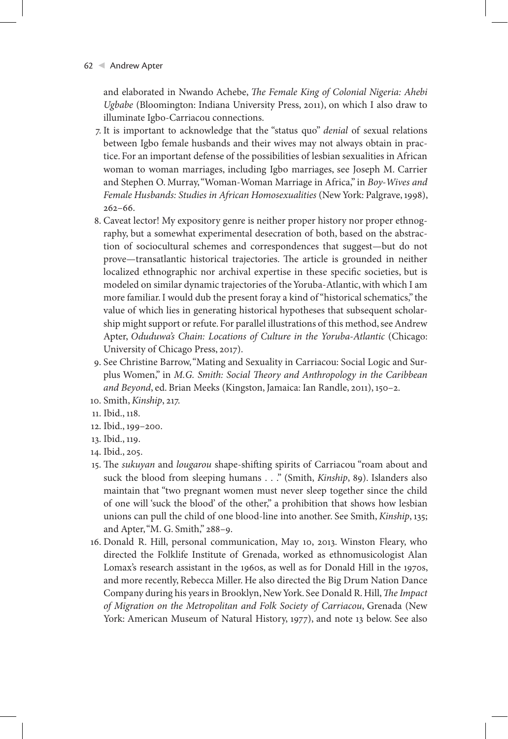and elaborated in Nwando Achebe, *The Female King of Colonial Nigeria: Ahebi Ugbabe* (Bloomington: Indiana University Press, 2011), on which I also draw to illuminate Igbo-Carriacou connections.

- 7. It is important to acknowledge that the "status quo" *denial* of sexual relations between Igbo female husbands and their wives may not always obtain in practice. For an important defense of the possibilities of lesbian sexualities in African woman to woman marriages, including Igbo marriages, see Joseph M. Carrier and Stephen O. Murray, "Woman-Woman Marriage in Africa," in *Boy-Wives and Female Husbands: Studies in African Homosexualities* (New York: Palgrave, 1998), 262–66.
- 8. Caveat lector! My expository genre is neither proper history nor proper ethnography, but a somewhat experimental desecration of both, based on the abstraction of sociocultural schemes and correspondences that suggest—but do not prove—transatlantic historical trajectories. The article is grounded in neither localized ethnographic nor archival expertise in these specific societies, but is modeled on similar dynamic trajectories of the Yoruba-Atlantic, with which I am more familiar. I would dub the present foray a kind of "historical schematics," the value of which lies in generating historical hypotheses that subsequent scholarship might support or refute. For parallel illustrations of this method, see Andrew Apter, *Oduduwa's Chain: Locations of Culture in the Yoruba-Atlantic* (Chicago: University of Chicago Press, 2017).
- 9. See Christine Barrow, "Mating and Sexuality in Carriacou: Social Logic and Surplus Women," in *M.G. Smith: Social Theory and Anthropology in the Caribbean and Beyond*, ed. Brian Meeks (Kingston, Jamaica: Ian Randle, 2011), 150–2.
- 10. Smith, *Kinship*, 217.
- 11. Ibid., 118.
- 12. Ibid., 199–200.
- 13. Ibid., 119.
- 14. Ibid., 205.
- 15. The *sukuyan* and *lougarou* shape-shifting spirits of Carriacou "roam about and suck the blood from sleeping humans . . ." (Smith, *Kinship*, 89). Islanders also maintain that "two pregnant women must never sleep together since the child of one will 'suck the blood' of the other," a prohibition that shows how lesbian unions can pull the child of one blood-line into another. See Smith, *Kinship*, 135; and Apter, "M. G. Smith," 288–9.
- 16. Donald R. Hill, personal communication, May 10, 2013. Winston Fleary, who directed the Folklife Institute of Grenada, worked as ethnomusicologist Alan Lomax's research assistant in the 1960s, as well as for Donald Hill in the 1970s, and more recently, Rebecca Miller. He also directed the Big Drum Nation Dance Company during his years in Brooklyn, New York. See Donald R. Hill, *The Impact of Migration on the Metropolitan and Folk Society of Carriacou*, Grenada (New York: American Museum of Natural History, 1977), and note 13 below. See also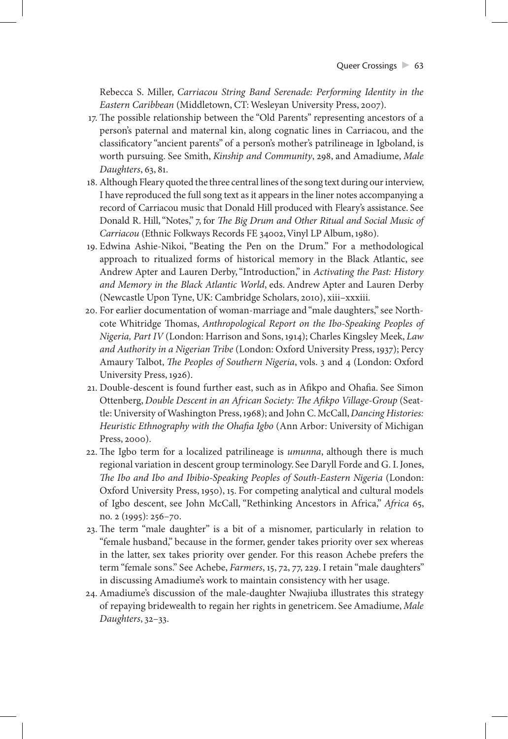Rebecca S. Miller, *Carriacou String Band Serenade: Performing Identity in the Eastern Caribbean* (Middletown, CT: Wesleyan University Press, 2007).

- 17. The possible relationship between the "Old Parents" representing ancestors of a person's paternal and maternal kin, along cognatic lines in Carriacou, and the classificatory "ancient parents" of a person's mother's patrilineage in Igboland, is worth pursuing. See Smith, *Kinship and Community*, 298, and Amadiume, *Male Daughters*, 63, 81.
- 18. Although Fleary quoted the three central lines of the song text during our interview, I have reproduced the full song text as it appears in the liner notes accompanying a record of Carriacou music that Donald Hill produced with Fleary's assistance. See Donald R. Hill, "Notes," 7, for *The Big Drum and Other Ritual and Social Music of Carriacou* (Ethnic Folkways Records FE 34002, Vinyl LP Album, 1980).
- 19. Edwina Ashie-Nikoi, "Beating the Pen on the Drum." For a methodological approach to ritualized forms of historical memory in the Black Atlantic, see Andrew Apter and Lauren Derby, "Introduction," in *Activating the Past: History and Memory in the Black Atlantic World*, eds. Andrew Apter and Lauren Derby (Newcastle Upon Tyne, UK: Cambridge Scholars, 2010), xiii–xxxiii.
- 20. For earlier documentation of woman-marriage and "male daughters," see Northcote Whitridge Thomas, *Anthropological Report on the Ibo-Speaking Peoples of Nigeria, Part IV* (London: Harrison and Sons, 1914); Charles Kingsley Meek, *Law and Authority in a Nigerian Tribe* (London: Oxford University Press, 1937); Percy Amaury Talbot, *The Peoples of Southern Nigeria*, vols. 3 and 4 (London: Oxford University Press, 1926).
- 21. Double-descent is found further east, such as in Afikpo and Ohafia. See Simon Ottenberg, *Double Descent in an African Society: The Afikpo Village-Group* (Seattle: University of Washington Press, 1968); and John C. McCall, *Dancing Histories: Heuristic Ethnography with the Ohafia Igbo* (Ann Arbor: University of Michigan Press, 2000).
- 22. The Igbo term for a localized patrilineage is *umunna*, although there is much regional variation in descent group terminology. See Daryll Forde and G. I. Jones, *The Ibo and Ibo and Ibibio-Speaking Peoples of South-Eastern Nigeria* (London: Oxford University Press, 1950), 15. For competing analytical and cultural models of Igbo descent, see John McCall, "Rethinking Ancestors in Africa," *Africa* 65, no. 2 (1995): 256–70.
- 23. The term "male daughter" is a bit of a misnomer, particularly in relation to "female husband," because in the former, gender takes priority over sex whereas in the latter, sex takes priority over gender. For this reason Achebe prefers the term "female sons." See Achebe, *Farmers*, 15, 72, 77, 229. I retain "male daughters" in discussing Amadiume's work to maintain consistency with her usage.
- 24. Amadiume's discussion of the male-daughter Nwajiuba illustrates this strategy of repaying bridewealth to regain her rights in genetricem. See Amadiume, *Male Daughters*, 32–33.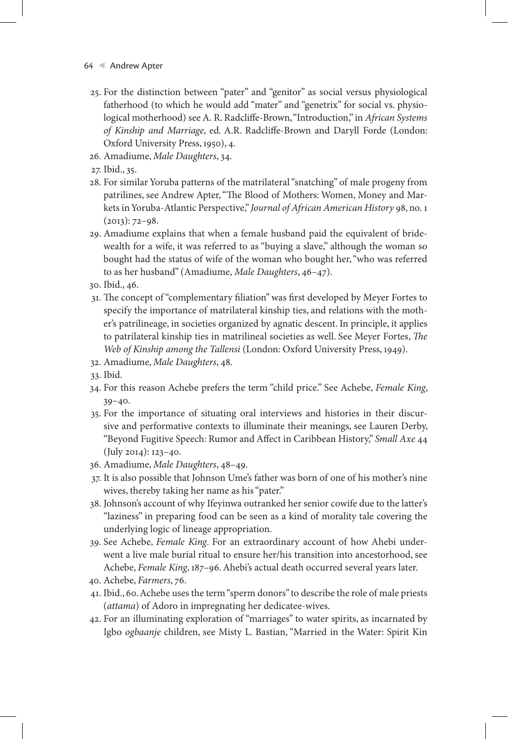- 64 Andrew Apter
	- 25. For the distinction between "pater" and "genitor" as social versus physiological fatherhood (to which he would add "mater" and "genetrix" for social vs. physiological motherhood) see A. R. Radcliffe-Brown, "Introduction," in *African Systems of Kinship and Marriage*, ed. A.R. Radcliffe-Brown and Daryll Forde (London: Oxford University Press, 1950), 4.
	- 26. Amadiume, *Male Daughters*, 34.
	- 27. Ibid., 35.
	- 28. For similar Yoruba patterns of the matrilateral "snatching" of male progeny from patrilines, see Andrew Apter, "The Blood of Mothers: Women, Money and Markets in Yoruba-Atlantic Perspective," *Journal of African American History* 98, no. 1  $(2013): 72-98.$
	- 29. Amadiume explains that when a female husband paid the equivalent of bridewealth for a wife, it was referred to as "buying a slave," although the woman so bought had the status of wife of the woman who bought her, "who was referred to as her husband" (Amadiume, *Male Daughters*, 46–47).
	- 30. Ibid., 46.
	- 31. The concept of "complementary filiation" was first developed by Meyer Fortes to specify the importance of matrilateral kinship ties, and relations with the mother's patrilineage, in societies organized by agnatic descent. In principle, it applies to patrilateral kinship ties in matrilineal societies as well. See Meyer Fortes, *The Web of Kinship among the Tallensi* (London: Oxford University Press, 1949).
	- 32. Amadiume, *Male Daughters*, 48.
	- 33. Ibid.
	- 34. For this reason Achebe prefers the term "child price." See Achebe, *Female King*, 39–40.
	- 35. For the importance of situating oral interviews and histories in their discursive and performative contexts to illuminate their meanings, see Lauren Derby, "Beyond Fugitive Speech: Rumor and Affect in Caribbean History," *Small Axe* 44 (July 2014): 123–40.
	- 36. Amadiume, *Male Daughters*, 48–49.
	- 37. It is also possible that Johnson Ume's father was born of one of his mother's nine wives, thereby taking her name as his "pater."
	- 38. Johnson's account of why Ifeyinwa outranked her senior cowife due to the latter's "laziness" in preparing food can be seen as a kind of morality tale covering the underlying logic of lineage appropriation.
	- 39. See Achebe, *Female King*. For an extraordinary account of how Ahebi underwent a live male burial ritual to ensure her/his transition into ancestorhood, see Achebe, *Female King*, 187–96. Ahebi's actual death occurred several years later.
- 40. Achebe, *Farmers*, 76.
- 41. Ibid., 60. Achebe uses the term "sperm donors" to describe the role of male priests (*attama*) of Adoro in impregnating her dedicatee-wives.
- 42. For an illuminating exploration of "marriages" to water spirits, as incarnated by Igbo *ogbaanje* children, see Misty L. Bastian, "Married in the Water: Spirit Kin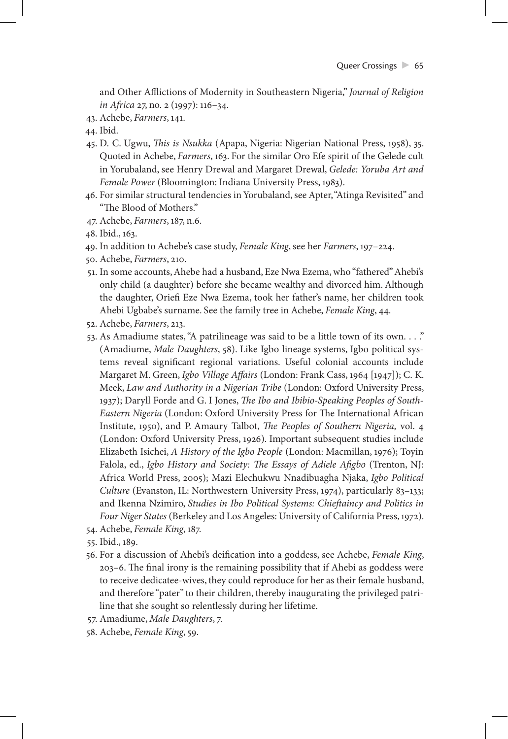and Other Afflictions of Modernity in Southeastern Nigeria," *Journal of Religion in Africa* 27, no. 2 (1997): 116–34.

43. Achebe, *Farmers*, 141.

44. Ibid.

- 45. D. C. Ugwu, *This is Nsukka* (Apapa, Nigeria: Nigerian National Press, 1958), 35. Quoted in Achebe, *Farmers*, 163. For the similar Oro Efe spirit of the Gelede cult in Yorubaland, see Henry Drewal and Margaret Drewal, *Gelede: Yoruba Art and Female Power* (Bloomington: Indiana University Press, 1983).
- 46. For similar structural tendencies in Yorubaland, see Apter, "Atinga Revisited" and "The Blood of Mothers."
- 47. Achebe, *Farmers*, 187, n.6.
- 48. Ibid., 163.
- 49. In addition to Achebe's case study, *Female King*, see her *Farmers*, 197–224.
- 50. Achebe, *Farmers*, 210.
- 51. In some accounts, Ahebe had a husband, Eze Nwa Ezema, who "fathered" Ahebi's only child (a daughter) before she became wealthy and divorced him. Although the daughter, Oriefi Eze Nwa Ezema, took her father's name, her children took Ahebi Ugbabe's surname. See the family tree in Achebe, *Female King*, 44.
- 52. Achebe, *Farmers*, 213.
- 53. As Amadiume states, "A patrilineage was said to be a little town of its own. . . ." (Amadiume, *Male Daughters*, 58). Like Igbo lineage systems, Igbo political systems reveal significant regional variations. Useful colonial accounts include Margaret M. Green, *Igbo Village Affairs* (London: Frank Cass, 1964 [1947]); C. K. Meek, *Law and Authority in a Nigerian Tribe* (London: Oxford University Press, 1937); Daryll Forde and G. I Jones, *The Ibo and Ibibio-Speaking Peoples of South-Eastern Nigeria* (London: Oxford University Press for The International African Institute, 1950), and P. Amaury Talbot, *The Peoples of Southern Nigeria,* vol. 4 (London: Oxford University Press, 1926). Important subsequent studies include Elizabeth Isichei, *A History of the Igbo People* (London: Macmillan, 1976); Toyin Falola, ed., *Igbo History and Society: The Essays of Adiele Afigbo* (Trenton, NJ: Africa World Press, 2005); Mazi Elechukwu Nnadibuagha Njaka, *Igbo Political Culture* (Evanston, IL: Northwestern University Press, 1974), particularly 83–133; and Ikenna Nzimiro, *Studies in Ibo Political Systems: Chieftaincy and Politics in Four Niger States* (Berkeley and Los Angeles: University of California Press, 1972).
- 54. Achebe, *Female King*, 187.
- 55. Ibid., 189.
- 56. For a discussion of Ahebi's deification into a goddess, see Achebe, *Female King*, 203–6. The final irony is the remaining possibility that if Ahebi as goddess were to receive dedicatee-wives, they could reproduce for her as their female husband, and therefore "pater" to their children, thereby inaugurating the privileged patriline that she sought so relentlessly during her lifetime.
- 57. Amadiume, *Male Daughters*, 7.
- 58. Achebe, *Female King*, 59.